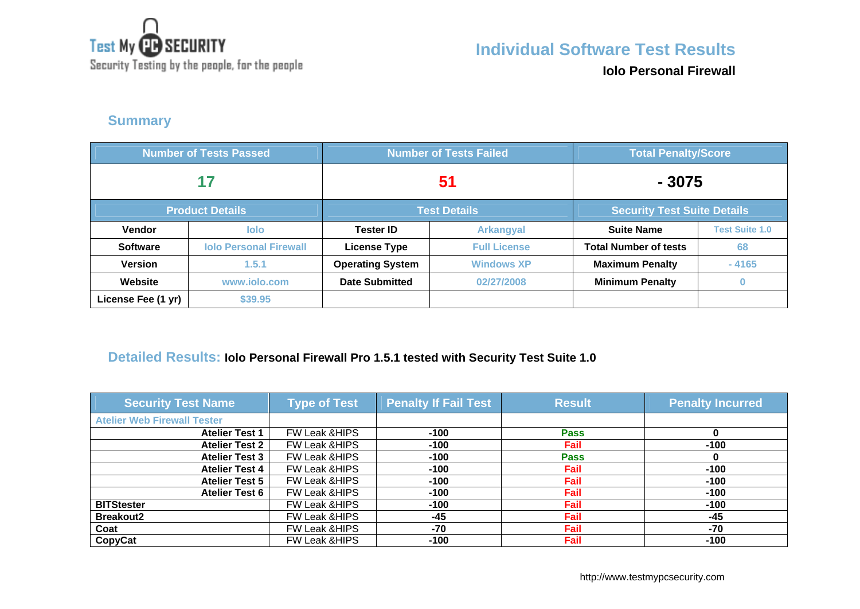

Security Testing by the people, for the people

# **Individual Software Test Results**

**Iolo Personal Firewall**

### **Summary**

| <b>Number of Tests Passed</b> |                               | <b>Number of Tests Failed</b> |                     | <b>Total Penalty/Score</b>         |                       |
|-------------------------------|-------------------------------|-------------------------------|---------------------|------------------------------------|-----------------------|
| 17                            |                               | 51                            |                     | $-3075$                            |                       |
|                               | <b>Product Details</b>        | <b>Test Details</b>           |                     | <b>Security Test Suite Details</b> |                       |
| <b>Vendor</b>                 | <b>lolo</b>                   | <b>Tester ID</b>              | <b>Arkangyal</b>    | <b>Suite Name</b>                  | <b>Test Suite 1.0</b> |
| <b>Software</b>               | <b>Iolo Personal Firewall</b> | <b>License Type</b>           | <b>Full License</b> | <b>Total Number of tests</b>       | 68                    |
| <b>Version</b>                | 1.5.1                         | <b>Operating System</b>       | <b>Windows XP</b>   | <b>Maximum Penalty</b>             | $-4165$               |
| Website                       | www.jolo.com                  | <b>Date Submitted</b>         | 02/27/2008          | <b>Minimum Penalty</b>             |                       |
| License Fee (1 yr)            | \$39.95                       |                               |                     |                                    |                       |

#### **Detailed Results: Iolo Personal Firewall Pro 1.5.1 tested with Security Test Suite 1.0**

| <b>Security Test Name</b>          | <b>Type of Test</b>      | <b>Penalty If Fail Test</b> | <b>Result</b> | <b>Penalty Incurred</b> |
|------------------------------------|--------------------------|-----------------------------|---------------|-------------------------|
| <b>Atelier Web Firewall Tester</b> |                          |                             |               |                         |
| <b>Atelier Test 1</b>              | <b>FW Leak &amp;HIPS</b> | $-100$                      | <b>Pass</b>   | o                       |
| <b>Atelier Test 2</b>              | FW Leak &HIPS            | $-100$                      | Fail          | $-100$                  |
| <b>Atelier Test 3</b>              | FW Leak &HIPS            | $-100$                      | <b>Pass</b>   |                         |
| <b>Atelier Test 4</b>              | <b>FW Leak &amp;HIPS</b> | $-100$                      | Fail          | $-100$                  |
| <b>Atelier Test 5</b>              | <b>FW Leak &amp;HIPS</b> | $-100$                      | <b>Fail</b>   | $-100$                  |
| <b>Atelier Test 6</b>              | FW Leak & HIPS           | $-100$                      | <b>Fail</b>   | $-100$                  |
| <b>BITStester</b>                  | <b>FW Leak &amp;HIPS</b> | $-100$                      | Fail          | $-100$                  |
| <b>Breakout2</b>                   | <b>FW Leak &amp;HIPS</b> | $-45$                       | Fail          | $-45$                   |
| Coat                               | <b>FW Leak &amp;HIPS</b> | -70                         | <b>Fail</b>   | $-70$                   |
| CopyCat                            | <b>FW Leak &amp;HIPS</b> | $-100$                      | Fail          | -100                    |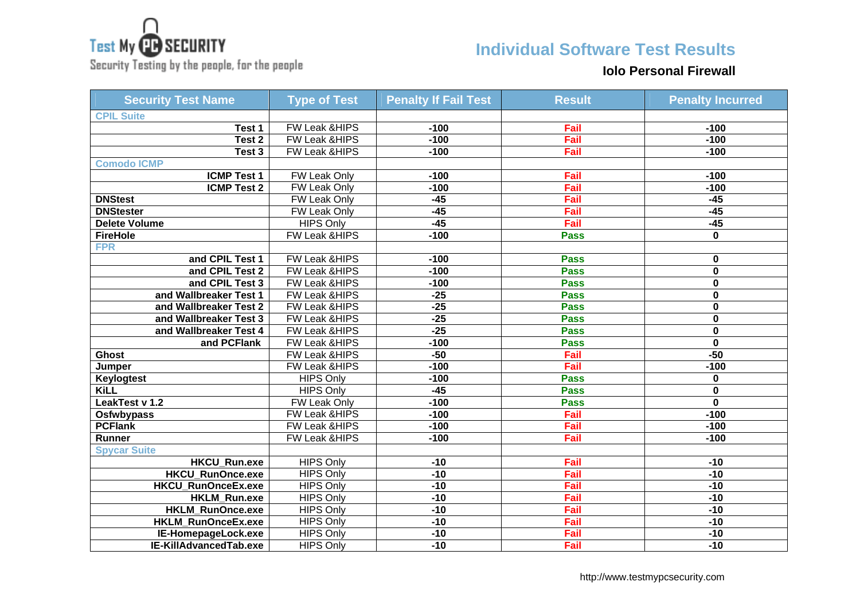

**Individual Software Test Results**

Security Testing by the people, for the people

#### **Iolo Personal Firewall**

| <b>Security Test Name</b>  | <b>Type of Test</b> | <b>Penalty If Fail Test</b> | <b>Result</b> | <b>Penalty Incurred</b> |
|----------------------------|---------------------|-----------------------------|---------------|-------------------------|
| <b>CPIL Suite</b>          |                     |                             |               |                         |
| Test 1                     | FW Leak &HIPS       | $-100$                      | Fail          | $-100$                  |
| $\overline{\text{Test}}$ 2 | FW Leak &HIPS       | $-100$                      | Fail          | $-100$                  |
| Test 3                     | FW Leak & HIPS      | $-100$                      | Fail          | $-100$                  |
| <b>Comodo ICMP</b>         |                     |                             |               |                         |
| <b>ICMP Test 1</b>         | <b>FW Leak Only</b> | $-100$                      | Fail          | $-100$                  |
| <b>ICMP Test 2</b>         | FW Leak Only        | $-100$                      | Fail          | $-100$                  |
| <b>DNStest</b>             | <b>FW Leak Only</b> | $-45$                       | Fail          | $-45$                   |
| <b>DNStester</b>           | FW Leak Only        | $-45$                       | Fail          | $-45$                   |
| <b>Delete Volume</b>       | <b>HIPS Only</b>    | $-45$                       | Fail          | $-45$                   |
| <b>FireHole</b>            | FW Leak & HIPS      | $-100$                      | <b>Pass</b>   | 0                       |
| <b>FPR</b>                 |                     |                             |               |                         |
| and CPIL Test 1            | FW Leak & HIPS      | $-100$                      | <b>Pass</b>   | 0                       |
| and CPIL Test 2            | FW Leak & HIPS      | $-100$                      | <b>Pass</b>   | 0                       |
| and CPIL Test 3            | FW Leak & HIPS      | $-100$                      | <b>Pass</b>   | 0                       |
| and Wallbreaker Test 1     | FW Leak &HIPS       | $-25$                       | <b>Pass</b>   | 0                       |
| and Wallbreaker Test 2     | FW Leak &HIPS       | $-25$                       | <b>Pass</b>   | 0                       |
| and Wallbreaker Test 3     | FW Leak &HIPS       | $-25$                       | <b>Pass</b>   | 0                       |
| and Wallbreaker Test 4     | FW Leak & HIPS      | $-25$                       | <b>Pass</b>   | 0                       |
| and PCFlank                | FW Leak & HIPS      | $-100$                      | <b>Pass</b>   | $\overline{\mathbf{0}}$ |
| <b>Ghost</b>               | FW Leak &HIPS       | $-50$                       | Fail          | $-50$                   |
| Jumper                     | FW Leak & HIPS      | $-100$                      | Fail          | $-100$                  |
| Keylogtest                 | <b>HIPS Only</b>    | $-100$                      | <b>Pass</b>   | 0                       |
| <b>KiLL</b>                | <b>HIPS Only</b>    | $-45$                       | <b>Pass</b>   | 0                       |
| LeakTest v 1.2             | FW Leak Only        | $-100$                      | <b>Pass</b>   | $\mathbf 0$             |
| Osfwbypass                 | FW Leak & HIPS      | $-100$                      | Fail          | $-100$                  |
| <b>PCFlank</b>             | FW Leak & HIPS      | $-100$                      | Fail          | $-100$                  |
| Runner                     | FW Leak & HIPS      | $-100$                      | Fail          | $-100$                  |
| <b>Spycar Suite</b>        |                     |                             |               |                         |
| <b>HKCU_Run.exe</b>        | <b>HIPS Only</b>    | $-10$                       | Fail          | $-10$                   |
| HKCU_RunOnce.exe           | <b>HIPS Only</b>    | $-10$                       | Fail          | $-10$                   |
| HKCU_RunOnceEx.exe         | <b>HIPS Only</b>    | $-10$                       | Fail          | $-10$                   |
| <b>HKLM Run.exe</b>        | <b>HIPS Only</b>    | $-10$                       | Fail          | $-10$                   |
| HKLM_RunOnce.exe           | <b>HIPS Only</b>    | $-10$                       | Fail          | $-10$                   |
| HKLM_RunOnceEx.exe         | <b>HIPS Only</b>    | $-10$                       | Fail          | $-10$                   |
| IE-HomepageLock.exe        | <b>HIPS Only</b>    | $-10$                       | Fail          | $-10$                   |
| IE-KillAdvancedTab.exe     | <b>HIPS Only</b>    | $-10$                       | Fail          | $-10$                   |